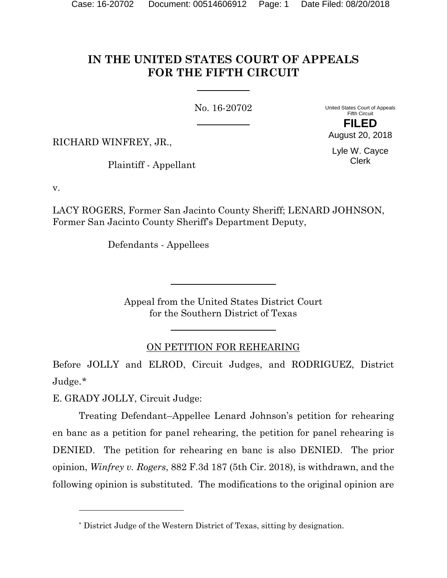# **IN THE UNITED STATES COURT OF APPEALS FOR THE FIFTH CIRCUIT**

No. 16-20702

United States Court of Appeals Fifth Circuit **FILED**

RICHARD WINFREY, JR.,

Plaintiff - Appellant

Lyle W. Cayce Clerk

August 20, 2018

v.

LACY ROGERS, Former San Jacinto County Sheriff; LENARD JOHNSON, Former San Jacinto County Sheriff's Department Deputy,

Defendants - Appellees

Appeal from the United States District Court for the Southern District of Texas

# ON PETITION FOR REHEARING

Before JOLLY and ELROD, Circuit Judges, and RODRIGUEZ, District Judge.[\\*](#page-0-0)

E. GRADY JOLLY, Circuit Judge:

 $\overline{a}$ 

Treating Defendant–Appellee Lenard Johnson's petition for rehearing en banc as a petition for panel rehearing, the petition for panel rehearing is DENIED. The petition for rehearing en banc is also DENIED. The prior opinion, *Winfrey v. Rogers*, 882 F.3d 187 (5th Cir. 2018), is withdrawn, and the following opinion is substituted. The modifications to the original opinion are

<span id="page-0-0"></span><sup>\*</sup> District Judge of the Western District of Texas, sitting by designation.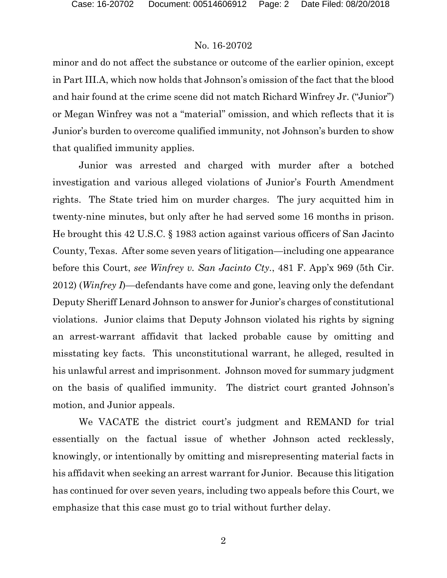minor and do not affect the substance or outcome of the earlier opinion, except in Part III.A, which now holds that Johnson's omission of the fact that the blood and hair found at the crime scene did not match Richard Winfrey Jr. ("Junior") or Megan Winfrey was not a "material" omission, and which reflects that it is Junior's burden to overcome qualified immunity, not Johnson's burden to show that qualified immunity applies.

Junior was arrested and charged with murder after a botched investigation and various alleged violations of Junior's Fourth Amendment rights. The State tried him on murder charges. The jury acquitted him in twenty-nine minutes, but only after he had served some 16 months in prison. He brought this 42 U.S.C. § 1983 action against various officers of San Jacinto County, Texas. After some seven years of litigation—including one appearance before this Court, *see Winfrey v. San Jacinto Cty.*, 481 F. App'x 969 (5th Cir. 2012) (*Winfrey I*)—defendants have come and gone, leaving only the defendant Deputy Sheriff Lenard Johnson to answer for Junior's charges of constitutional violations. Junior claims that Deputy Johnson violated his rights by signing an arrest-warrant affidavit that lacked probable cause by omitting and misstating key facts. This unconstitutional warrant, he alleged, resulted in his unlawful arrest and imprisonment. Johnson moved for summary judgment on the basis of qualified immunity. The district court granted Johnson's motion, and Junior appeals.

We VACATE the district court's judgment and REMAND for trial essentially on the factual issue of whether Johnson acted recklessly, knowingly, or intentionally by omitting and misrepresenting material facts in his affidavit when seeking an arrest warrant for Junior. Because this litigation has continued for over seven years, including two appeals before this Court, we emphasize that this case must go to trial without further delay.

2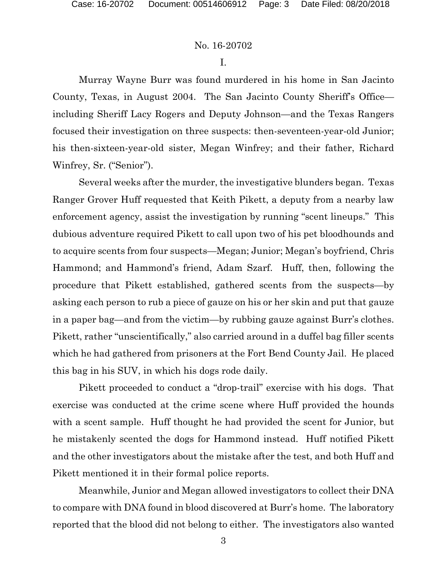I.

Murray Wayne Burr was found murdered in his home in San Jacinto County, Texas, in August 2004. The San Jacinto County Sheriff's Office including Sheriff Lacy Rogers and Deputy Johnson—and the Texas Rangers focused their investigation on three suspects: then-seventeen-year-old Junior; his then-sixteen-year-old sister, Megan Winfrey; and their father, Richard Winfrey, Sr. ("Senior").

Several weeks after the murder, the investigative blunders began. Texas Ranger Grover Huff requested that Keith Pikett, a deputy from a nearby law enforcement agency, assist the investigation by running "scent lineups." This dubious adventure required Pikett to call upon two of his pet bloodhounds and to acquire scents from four suspects—Megan; Junior; Megan's boyfriend, Chris Hammond; and Hammond's friend, Adam Szarf. Huff, then, following the procedure that Pikett established, gathered scents from the suspects—by asking each person to rub a piece of gauze on his or her skin and put that gauze in a paper bag—and from the victim—by rubbing gauze against Burr's clothes. Pikett, rather "unscientifically," also carried around in a duffel bag filler scents which he had gathered from prisoners at the Fort Bend County Jail. He placed this bag in his SUV, in which his dogs rode daily.

Pikett proceeded to conduct a "drop-trail" exercise with his dogs. That exercise was conducted at the crime scene where Huff provided the hounds with a scent sample. Huff thought he had provided the scent for Junior, but he mistakenly scented the dogs for Hammond instead. Huff notified Pikett and the other investigators about the mistake after the test, and both Huff and Pikett mentioned it in their formal police reports.

Meanwhile, Junior and Megan allowed investigators to collect their DNA to compare with DNA found in blood discovered at Burr's home. The laboratory reported that the blood did not belong to either. The investigators also wanted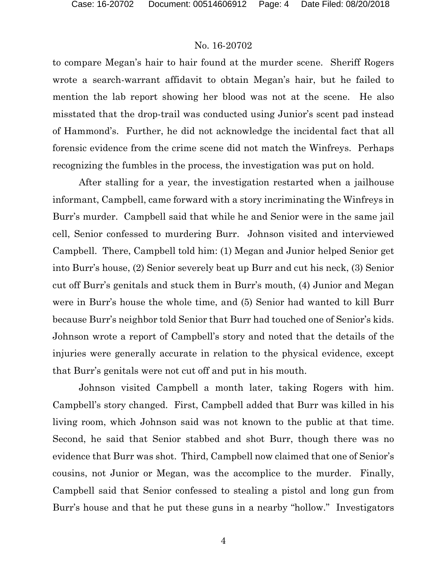to compare Megan's hair to hair found at the murder scene. Sheriff Rogers wrote a search-warrant affidavit to obtain Megan's hair, but he failed to mention the lab report showing her blood was not at the scene. He also misstated that the drop-trail was conducted using Junior's scent pad instead of Hammond's. Further, he did not acknowledge the incidental fact that all forensic evidence from the crime scene did not match the Winfreys. Perhaps recognizing the fumbles in the process, the investigation was put on hold.

After stalling for a year, the investigation restarted when a jailhouse informant, Campbell, came forward with a story incriminating the Winfreys in Burr's murder. Campbell said that while he and Senior were in the same jail cell, Senior confessed to murdering Burr. Johnson visited and interviewed Campbell. There, Campbell told him: (1) Megan and Junior helped Senior get into Burr's house, (2) Senior severely beat up Burr and cut his neck, (3) Senior cut off Burr's genitals and stuck them in Burr's mouth, (4) Junior and Megan were in Burr's house the whole time, and (5) Senior had wanted to kill Burr because Burr's neighbor told Senior that Burr had touched one of Senior's kids. Johnson wrote a report of Campbell's story and noted that the details of the injuries were generally accurate in relation to the physical evidence, except that Burr's genitals were not cut off and put in his mouth.

Johnson visited Campbell a month later, taking Rogers with him. Campbell's story changed. First, Campbell added that Burr was killed in his living room, which Johnson said was not known to the public at that time. Second, he said that Senior stabbed and shot Burr, though there was no evidence that Burr was shot. Third, Campbell now claimed that one of Senior's cousins, not Junior or Megan, was the accomplice to the murder. Finally, Campbell said that Senior confessed to stealing a pistol and long gun from Burr's house and that he put these guns in a nearby "hollow." Investigators

4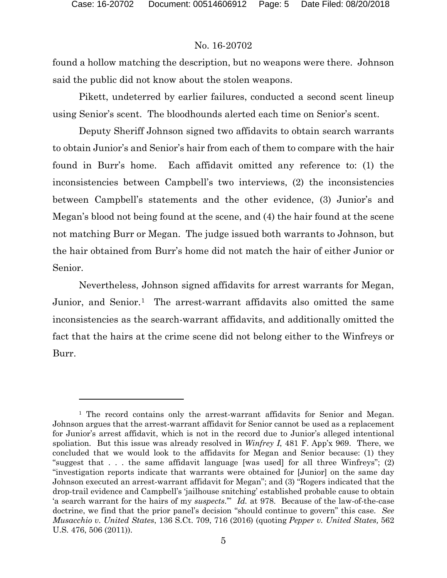l

# No. 16-20702

found a hollow matching the description, but no weapons were there. Johnson said the public did not know about the stolen weapons.

Pikett, undeterred by earlier failures, conducted a second scent lineup using Senior's scent. The bloodhounds alerted each time on Senior's scent.

Deputy Sheriff Johnson signed two affidavits to obtain search warrants to obtain Junior's and Senior's hair from each of them to compare with the hair found in Burr's home. Each affidavit omitted any reference to: (1) the inconsistencies between Campbell's two interviews, (2) the inconsistencies between Campbell's statements and the other evidence, (3) Junior's and Megan's blood not being found at the scene, and (4) the hair found at the scene not matching Burr or Megan. The judge issued both warrants to Johnson, but the hair obtained from Burr's home did not match the hair of either Junior or Senior.

Nevertheless, Johnson signed affidavits for arrest warrants for Megan, Junior, and Senior.[1](#page-4-0) The arrest-warrant affidavits also omitted the same inconsistencies as the search-warrant affidavits, and additionally omitted the fact that the hairs at the crime scene did not belong either to the Winfreys or Burr.

<span id="page-4-0"></span><sup>1</sup> The record contains only the arrest-warrant affidavits for Senior and Megan. Johnson argues that the arrest-warrant affidavit for Senior cannot be used as a replacement for Junior's arrest affidavit, which is not in the record due to Junior's alleged intentional spoliation. But this issue was already resolved in *Winfrey I*, 481 F. App'x 969. There, we concluded that we would look to the affidavits for Megan and Senior because: (1) they "suggest that  $\ldots$  the same affidavit language [was used] for all three Winfreys"; (2) "investigation reports indicate that warrants were obtained for [Junior] on the same day Johnson executed an arrest-warrant affidavit for Megan"; and (3) "Rogers indicated that the drop-trail evidence and Campbell's 'jailhouse snitching' established probable cause to obtain 'a search warrant for the hairs of my *suspects*.'" *Id.* at 978. Because of the law-of-the-case doctrine, we find that the prior panel's decision "should continue to govern" this case. *See Musacchio v. United States*, 136 S.Ct. 709, 716 (2016) (quoting *Pepper v. United States,* 562 U.S. 476, 506 (2011)).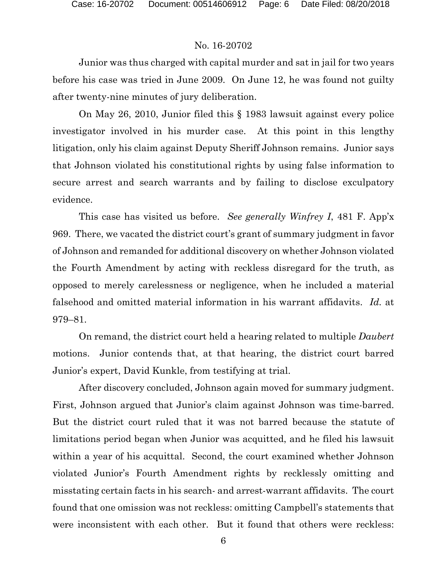Junior was thus charged with capital murder and sat in jail for two years before his case was tried in June 2009. On June 12, he was found not guilty after twenty-nine minutes of jury deliberation.

On May 26, 2010, Junior filed this § 1983 lawsuit against every police investigator involved in his murder case. At this point in this lengthy litigation, only his claim against Deputy Sheriff Johnson remains. Junior says that Johnson violated his constitutional rights by using false information to secure arrest and search warrants and by failing to disclose exculpatory evidence.

This case has visited us before. *See generally Winfrey I*, 481 F. App'x 969. There, we vacated the district court's grant of summary judgment in favor of Johnson and remanded for additional discovery on whether Johnson violated the Fourth Amendment by acting with reckless disregard for the truth, as opposed to merely carelessness or negligence, when he included a material falsehood and omitted material information in his warrant affidavits. *Id.* at 979–81.

On remand, the district court held a hearing related to multiple *Daubert*  motions. Junior contends that, at that hearing, the district court barred Junior's expert, David Kunkle, from testifying at trial.

After discovery concluded, Johnson again moved for summary judgment. First, Johnson argued that Junior's claim against Johnson was time-barred. But the district court ruled that it was not barred because the statute of limitations period began when Junior was acquitted, and he filed his lawsuit within a year of his acquittal. Second, the court examined whether Johnson violated Junior's Fourth Amendment rights by recklessly omitting and misstating certain facts in his search- and arrest-warrant affidavits. The court found that one omission was not reckless: omitting Campbell's statements that were inconsistent with each other. But it found that others were reckless: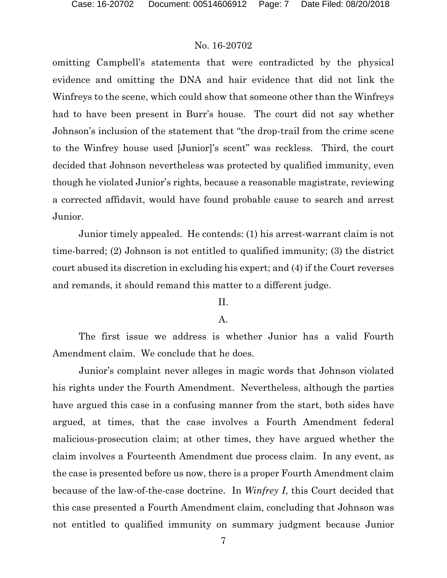omitting Campbell's statements that were contradicted by the physical evidence and omitting the DNA and hair evidence that did not link the Winfreys to the scene, which could show that someone other than the Winfreys had to have been present in Burr's house. The court did not say whether Johnson's inclusion of the statement that "the drop-trail from the crime scene to the Winfrey house used [Junior]'s scent" was reckless. Third, the court decided that Johnson nevertheless was protected by qualified immunity, even though he violated Junior's rights, because a reasonable magistrate, reviewing a corrected affidavit, would have found probable cause to search and arrest Junior.

Junior timely appealed. He contends: (1) his arrest-warrant claim is not time-barred; (2) Johnson is not entitled to qualified immunity; (3) the district court abused its discretion in excluding his expert; and (4) if the Court reverses and remands, it should remand this matter to a different judge.

#### II.

#### A.

The first issue we address is whether Junior has a valid Fourth Amendment claim. We conclude that he does.

Junior's complaint never alleges in magic words that Johnson violated his rights under the Fourth Amendment. Nevertheless, although the parties have argued this case in a confusing manner from the start, both sides have argued, at times, that the case involves a Fourth Amendment federal malicious-prosecution claim; at other times, they have argued whether the claim involves a Fourteenth Amendment due process claim. In any event, as the case is presented before us now, there is a proper Fourth Amendment claim because of the law-of-the-case doctrine. In *Winfrey I*, this Court decided that this case presented a Fourth Amendment claim, concluding that Johnson was not entitled to qualified immunity on summary judgment because Junior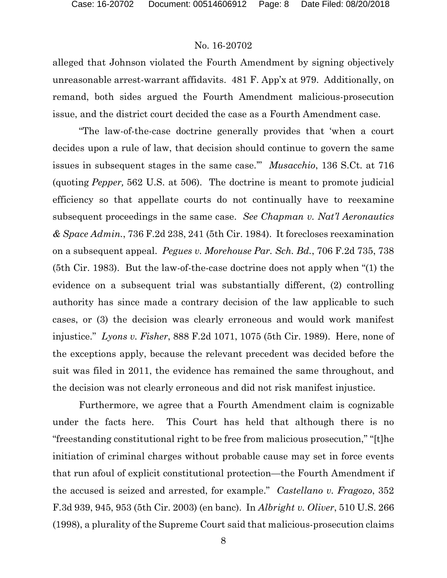alleged that Johnson violated the Fourth Amendment by signing objectively unreasonable arrest-warrant affidavits. 481 F. App'x at 979. Additionally, on remand, both sides argued the Fourth Amendment malicious-prosecution issue, and the district court decided the case as a Fourth Amendment case.

"The law-of-the-case doctrine generally provides that 'when a court decides upon a rule of law, that decision should continue to govern the same issues in subsequent stages in the same case.'" *Musacchio*, 136 S.Ct. at 716 (quoting *Pepper,* 562 U.S. at 506). The doctrine is meant to promote judicial efficiency so that appellate courts do not continually have to reexamine subsequent proceedings in the same case. *See Chapman v. Nat'l Aeronautics & Space Admin.*, 736 F.2d 238, 241 (5th Cir. 1984). It forecloses reexamination on a subsequent appeal. *Pegues v. Morehouse Par. Sch. Bd.*, 706 F.2d 735, 738 (5th Cir. 1983). But the law-of-the-case doctrine does not apply when "(1) the evidence on a subsequent trial was substantially different, (2) controlling authority has since made a contrary decision of the law applicable to such cases, or (3) the decision was clearly erroneous and would work manifest injustice." *Lyons v. Fisher*, 888 F.2d 1071, 1075 (5th Cir. 1989). Here, none of the exceptions apply, because the relevant precedent was decided before the suit was filed in 2011, the evidence has remained the same throughout, and the decision was not clearly erroneous and did not risk manifest injustice.

Furthermore, we agree that a Fourth Amendment claim is cognizable under the facts here. This Court has held that although there is no "freestanding constitutional right to be free from malicious prosecution," "[t]he initiation of criminal charges without probable cause may set in force events that run afoul of explicit constitutional protection—the Fourth Amendment if the accused is seized and arrested, for example." *Castellano v. Fragozo*, 352 F.3d 939, 945, 953 (5th Cir. 2003) (en banc). In *Albright v. Oliver*, 510 U.S. 266 (1998), a plurality of the Supreme Court said that malicious-prosecution claims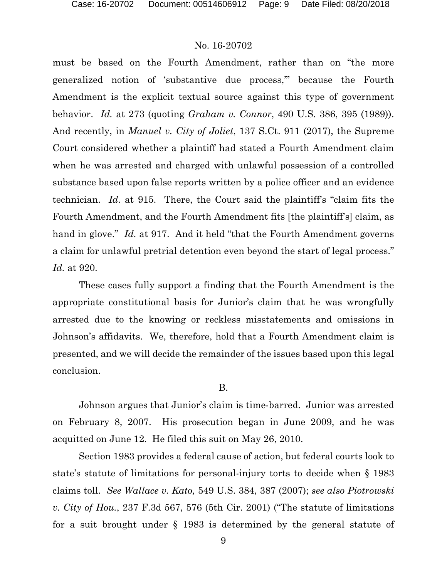must be based on the Fourth Amendment, rather than on "the more generalized notion of 'substantive due process,'" because the Fourth Amendment is the explicit textual source against this type of government behavior. *Id.* at 273 (quoting *Graham v. Connor*, 490 U.S. 386, 395 (1989)). And recently, in *Manuel v. City of Joliet*, 137 S.Ct. 911 (2017), the Supreme Court considered whether a plaintiff had stated a Fourth Amendment claim when he was arrested and charged with unlawful possession of a controlled substance based upon false reports written by a police officer and an evidence technician. *Id.* at 915. There, the Court said the plaintiff's "claim fits the Fourth Amendment, and the Fourth Amendment fits [the plaintiff's] claim, as hand in glove." *Id.* at 917. And it held "that the Fourth Amendment governs" a claim for unlawful pretrial detention even beyond the start of legal process." *Id.* at 920.

These cases fully support a finding that the Fourth Amendment is the appropriate constitutional basis for Junior's claim that he was wrongfully arrested due to the knowing or reckless misstatements and omissions in Johnson's affidavits. We, therefore, hold that a Fourth Amendment claim is presented, and we will decide the remainder of the issues based upon this legal conclusion.

#### B.

Johnson argues that Junior's claim is time-barred. Junior was arrested on February 8, 2007. His prosecution began in June 2009, and he was acquitted on June 12. He filed this suit on May 26, 2010.

Section 1983 provides a federal cause of action, but federal courts look to state's statute of limitations for personal-injury torts to decide when § 1983 claims toll. *See Wallace v. Kato,* 549 U.S. 384, 387 (2007); *see also Piotrowski v. City of Hou.*, 237 F.3d 567, 576 (5th Cir. 2001) ("The statute of limitations for a suit brought under § 1983 is determined by the general statute of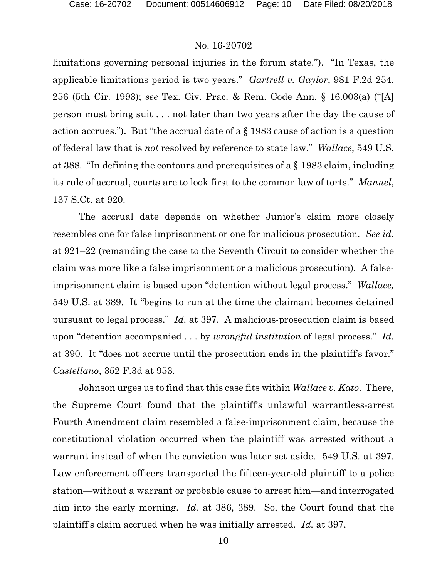limitations governing personal injuries in the forum state."). "In Texas, the applicable limitations period is two years." *Gartrell v. Gaylor*, 981 F.2d 254, 256 (5th Cir. 1993); *see* Tex. Civ. Prac. & Rem. Code Ann. § 16.003(a) ("[A] person must bring suit . . . not later than two years after the day the cause of action accrues."). But "the accrual date of a § 1983 cause of action is a question of federal law that is *not* resolved by reference to state law." *Wallace*, 549 U.S. at 388. "In defining the contours and prerequisites of a § 1983 claim, including its rule of accrual, courts are to look first to the common law of torts." *Manuel*, 137 S.Ct. at 920.

The accrual date depends on whether Junior's claim more closely resembles one for false imprisonment or one for malicious prosecution. *See id.* at 921–22 (remanding the case to the Seventh Circuit to consider whether the claim was more like a false imprisonment or a malicious prosecution). A falseimprisonment claim is based upon "detention without legal process." *Wallace,* 549 U.S. at 389. It "begins to run at the time the claimant becomes detained pursuant to legal process." *Id.* at 397. A malicious-prosecution claim is based upon "detention accompanied . . . by *wrongful institution* of legal process." *Id.* at 390. It "does not accrue until the prosecution ends in the plaintiff's favor." *Castellano*, 352 F.3d at 953.

Johnson urges us to find that this case fits within *Wallace v. Kato*. There, the Supreme Court found that the plaintiff's unlawful warrantless-arrest Fourth Amendment claim resembled a false-imprisonment claim, because the constitutional violation occurred when the plaintiff was arrested without a warrant instead of when the conviction was later set aside. 549 U.S. at 397. Law enforcement officers transported the fifteen-year-old plaintiff to a police station—without a warrant or probable cause to arrest him—and interrogated him into the early morning. *Id.* at 386, 389. So, the Court found that the plaintiff's claim accrued when he was initially arrested. *Id.* at 397.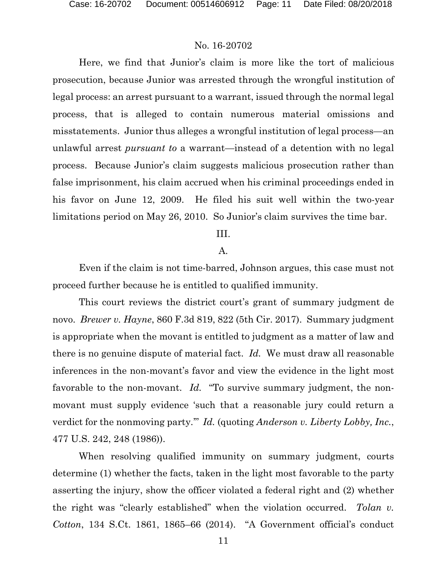Here, we find that Junior's claim is more like the tort of malicious prosecution, because Junior was arrested through the wrongful institution of legal process: an arrest pursuant to a warrant, issued through the normal legal process, that is alleged to contain numerous material omissions and misstatements. Junior thus alleges a wrongful institution of legal process—an unlawful arrest *pursuant to* a warrant—instead of a detention with no legal process. Because Junior's claim suggests malicious prosecution rather than false imprisonment, his claim accrued when his criminal proceedings ended in his favor on June 12, 2009. He filed his suit well within the two-year limitations period on May 26, 2010. So Junior's claim survives the time bar.

# III.

#### A.

Even if the claim is not time-barred, Johnson argues, this case must not proceed further because he is entitled to qualified immunity.

This court reviews the district court's grant of summary judgment de novo. *Brewer v. Hayne*, 860 F.3d 819, 822 (5th Cir. 2017). Summary judgment is appropriate when the movant is entitled to judgment as a matter of law and there is no genuine dispute of material fact. *Id.* We must draw all reasonable inferences in the non-movant's favor and view the evidence in the light most favorable to the non-movant. *Id.* "To survive summary judgment, the nonmovant must supply evidence 'such that a reasonable jury could return a verdict for the nonmoving party.'" *Id.* (quoting *Anderson v. Liberty Lobby, Inc.*, 477 U.S. 242, 248 (1986)).

When resolving qualified immunity on summary judgment, courts determine (1) whether the facts, taken in the light most favorable to the party asserting the injury, show the officer violated a federal right and (2) whether the right was "clearly established" when the violation occurred. *Tolan v. Cotton*, 134 S.Ct. 1861, 1865–66 (2014). "A Government official's conduct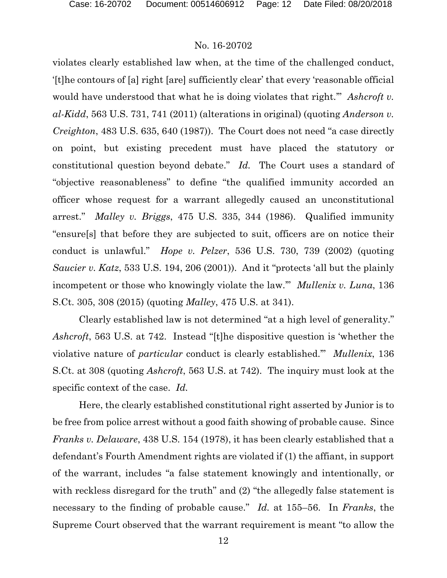violates clearly established law when, at the time of the challenged conduct, '[t]he contours of [a] right [are] sufficiently clear' that every 'reasonable official would have understood that what he is doing violates that right." Ashcroft v. *al-Kidd*, 563 U.S. 731, 741 (2011) (alterations in original) (quoting *Anderson v. Creighton*, 483 U.S. 635, 640 (1987)). The Court does not need "a case directly on point, but existing precedent must have placed the statutory or constitutional question beyond debate." *Id.* The Court uses a standard of "objective reasonableness" to define "the qualified immunity accorded an officer whose request for a warrant allegedly caused an unconstitutional arrest." *Malley v. Briggs*, 475 U.S. 335, 344 (1986). Qualified immunity "ensure[s] that before they are subjected to suit, officers are on notice their conduct is unlawful." *Hope v. Pelzer*, 536 U.S. 730, 739 (2002) (quoting *Saucier v. Katz*, 533 U.S. 194, 206 (2001)). And it "protects 'all but the plainly incompetent or those who knowingly violate the law.'" *Mullenix v. Luna*, 136 S.Ct. 305, 308 (2015) (quoting *Malley*, 475 U.S. at 341).

Clearly established law is not determined "at a high level of generality." *Ashcroft*, 563 U.S. at 742. Instead "[t]he dispositive question is 'whether the violative nature of *particular* conduct is clearly established.'" *Mullenix*, 136 S.Ct. at 308 (quoting *Ashcroft*, 563 U.S. at 742). The inquiry must look at the specific context of the case. *Id.*

Here, the clearly established constitutional right asserted by Junior is to be free from police arrest without a good faith showing of probable cause. Since *Franks v. Delaware*, 438 U.S. 154 (1978), it has been clearly established that a defendant's Fourth Amendment rights are violated if (1) the affiant, in support of the warrant, includes "a false statement knowingly and intentionally, or with reckless disregard for the truth" and (2) "the allegedly false statement is necessary to the finding of probable cause." *Id.* at 155–56. In *Franks*, the Supreme Court observed that the warrant requirement is meant "to allow the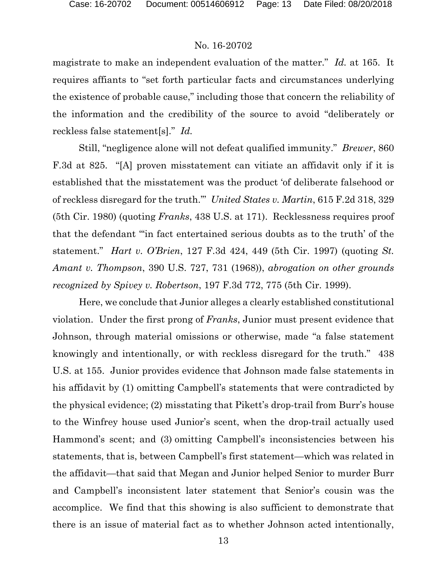magistrate to make an independent evaluation of the matter." *Id.* at 165. It requires affiants to "set forth particular facts and circumstances underlying the existence of probable cause," including those that concern the reliability of the information and the credibility of the source to avoid "deliberately or reckless false statement[s]." *Id.*

Still, "negligence alone will not defeat qualified immunity." *Brewer*, 860 F.3d at 825. "[A] proven misstatement can vitiate an affidavit only if it is established that the misstatement was the product 'of deliberate falsehood or of reckless disregard for the truth.'" *United States v. Martin*, 615 F.2d 318, 329 (5th Cir. 1980) (quoting *Franks*, 438 U.S. at 171). Recklessness requires proof that the defendant "'in fact entertained serious doubts as to the truth' of the statement." *Hart v. O'Brien*, 127 F.3d 424, 449 (5th Cir. 1997) (quoting *St. Amant v. Thompson*, 390 U.S. 727, 731 (1968)), *abrogation on other grounds recognized by Spivey v. Robertson*, 197 F.3d 772, 775 (5th Cir. 1999).

Here, we conclude that Junior alleges a clearly established constitutional violation. Under the first prong of *Franks*, Junior must present evidence that Johnson, through material omissions or otherwise, made "a false statement knowingly and intentionally, or with reckless disregard for the truth." 438 U.S. at 155. Junior provides evidence that Johnson made false statements in his affidavit by (1) omitting Campbell's statements that were contradicted by the physical evidence; (2) misstating that Pikett's drop-trail from Burr's house to the Winfrey house used Junior's scent, when the drop-trail actually used Hammond's scent; and (3) omitting Campbell's inconsistencies between his statements, that is, between Campbell's first statement—which was related in the affidavit—that said that Megan and Junior helped Senior to murder Burr and Campbell's inconsistent later statement that Senior's cousin was the accomplice. We find that this showing is also sufficient to demonstrate that there is an issue of material fact as to whether Johnson acted intentionally,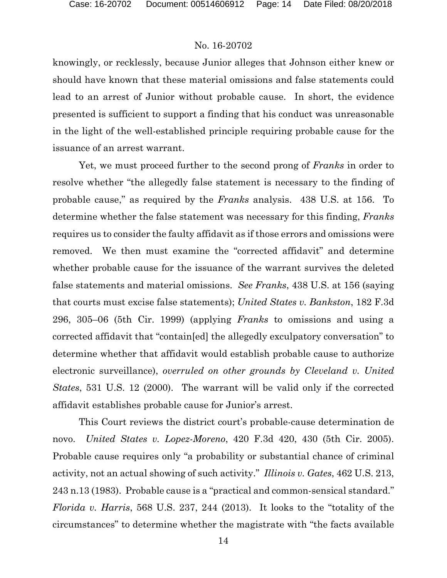knowingly, or recklessly, because Junior alleges that Johnson either knew or should have known that these material omissions and false statements could lead to an arrest of Junior without probable cause. In short, the evidence presented is sufficient to support a finding that his conduct was unreasonable in the light of the well-established principle requiring probable cause for the issuance of an arrest warrant.

Yet, we must proceed further to the second prong of *Franks* in order to resolve whether "the allegedly false statement is necessary to the finding of probable cause," as required by the *Franks* analysis. 438 U.S. at 156. To determine whether the false statement was necessary for this finding, *Franks*  requires us to consider the faulty affidavit as if those errors and omissions were removed. We then must examine the "corrected affidavit" and determine whether probable cause for the issuance of the warrant survives the deleted false statements and material omissions. *See Franks*, 438 U.S. at 156 (saying that courts must excise false statements); *United States v. Bankston*, 182 F.3d 296, 305–06 (5th Cir. 1999) (applying *Franks* to omissions and using a corrected affidavit that "contain[ed] the allegedly exculpatory conversation" to determine whether that affidavit would establish probable cause to authorize electronic surveillance), *overruled on other grounds by Cleveland v. United States*, 531 U.S. 12 (2000). The warrant will be valid only if the corrected affidavit establishes probable cause for Junior's arrest.

This Court reviews the district court's probable-cause determination de novo. *United States v. Lopez-Moreno*, 420 F.3d 420, 430 (5th Cir. 2005). Probable cause requires only "a probability or substantial chance of criminal activity, not an actual showing of such activity." *Illinois v. Gates*, 462 U.S. 213, 243 n.13 (1983). Probable cause is a "practical and common-sensical standard." *Florida v. Harris*, 568 U.S. 237, 244 (2013). It looks to the "totality of the circumstances" to determine whether the magistrate with "the facts available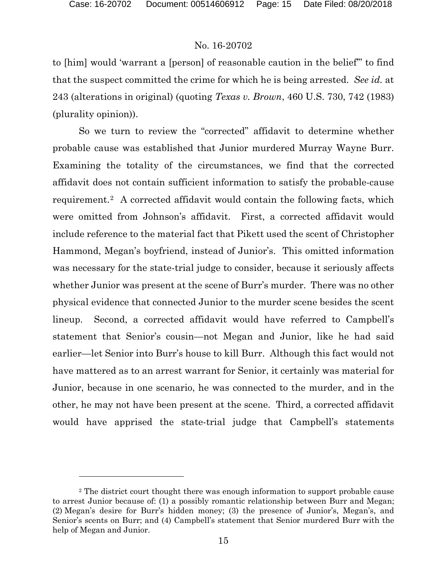l

# No. 16-20702

to [him] would 'warrant a [person] of reasonable caution in the belief'" to find that the suspect committed the crime for which he is being arrested. *See id.* at 243 (alterations in original) (quoting *Texas v. Brown*, 460 U.S. 730, 742 (1983) (plurality opinion)).

So we turn to review the "corrected" affidavit to determine whether probable cause was established that Junior murdered Murray Wayne Burr. Examining the totality of the circumstances, we find that the corrected affidavit does not contain sufficient information to satisfy the probable-cause requirement.[2](#page-14-0) A corrected affidavit would contain the following facts, which were omitted from Johnson's affidavit. First, a corrected affidavit would include reference to the material fact that Pikett used the scent of Christopher Hammond, Megan's boyfriend, instead of Junior's. This omitted information was necessary for the state-trial judge to consider, because it seriously affects whether Junior was present at the scene of Burr's murder. There was no other physical evidence that connected Junior to the murder scene besides the scent lineup. Second, a corrected affidavit would have referred to Campbell's statement that Senior's cousin—not Megan and Junior, like he had said earlier—let Senior into Burr's house to kill Burr. Although this fact would not have mattered as to an arrest warrant for Senior, it certainly was material for Junior, because in one scenario, he was connected to the murder, and in the other, he may not have been present at the scene. Third, a corrected affidavit would have apprised the state-trial judge that Campbell's statements

<span id="page-14-0"></span><sup>2</sup> The district court thought there was enough information to support probable cause to arrest Junior because of: (1) a possibly romantic relationship between Burr and Megan; (2) Megan's desire for Burr's hidden money; (3) the presence of Junior's, Megan's, and Senior's scents on Burr; and (4) Campbell's statement that Senior murdered Burr with the help of Megan and Junior.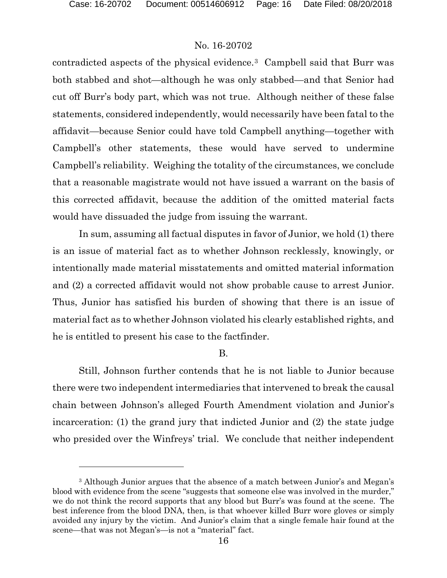$\overline{a}$ 

# No. 16-20702

contradicted aspects of the physical evidence.[3](#page-15-0) Campbell said that Burr was both stabbed and shot—although he was only stabbed—and that Senior had cut off Burr's body part, which was not true. Although neither of these false statements, considered independently, would necessarily have been fatal to the affidavit—because Senior could have told Campbell anything—together with Campbell's other statements, these would have served to undermine Campbell's reliability. Weighing the totality of the circumstances, we conclude that a reasonable magistrate would not have issued a warrant on the basis of this corrected affidavit, because the addition of the omitted material facts would have dissuaded the judge from issuing the warrant.

In sum, assuming all factual disputes in favor of Junior, we hold (1) there is an issue of material fact as to whether Johnson recklessly, knowingly, or intentionally made material misstatements and omitted material information and (2) a corrected affidavit would not show probable cause to arrest Junior. Thus, Junior has satisfied his burden of showing that there is an issue of material fact as to whether Johnson violated his clearly established rights, and he is entitled to present his case to the factfinder.

### B.

Still, Johnson further contends that he is not liable to Junior because there were two independent intermediaries that intervened to break the causal chain between Johnson's alleged Fourth Amendment violation and Junior's incarceration: (1) the grand jury that indicted Junior and (2) the state judge who presided over the Winfreys' trial. We conclude that neither independent

<span id="page-15-0"></span><sup>3</sup> Although Junior argues that the absence of a match between Junior's and Megan's blood with evidence from the scene "suggests that someone else was involved in the murder," we do not think the record supports that any blood but Burr's was found at the scene. The best inference from the blood DNA, then, is that whoever killed Burr wore gloves or simply avoided any injury by the victim. And Junior's claim that a single female hair found at the scene—that was not Megan's—is not a "material" fact.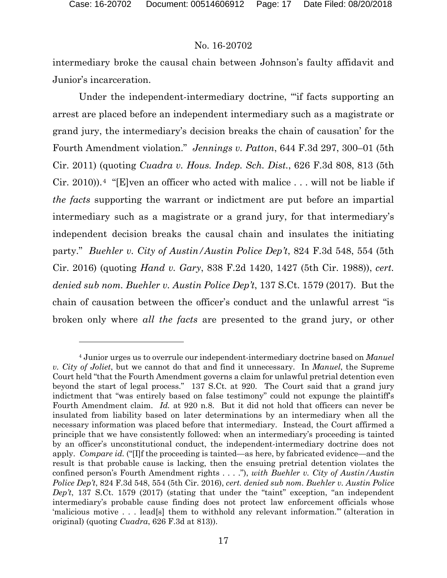$\overline{a}$ 

### No. 16-20702

intermediary broke the causal chain between Johnson's faulty affidavit and Junior's incarceration.

Under the independent-intermediary doctrine, "'if facts supporting an arrest are placed before an independent intermediary such as a magistrate or grand jury, the intermediary's decision breaks the chain of causation' for the Fourth Amendment violation." *Jennings v. Patton*, 644 F.3d 297, 300–01 (5th Cir. 2011) (quoting *Cuadra v. Hous. Indep. Sch. Dist.*, 626 F.3d 808, 813 (5th Cir. 2010).<sup>[4](#page-16-0)</sup> "[E]ven an officer who acted with malice  $\dots$  will not be liable if *the facts* supporting the warrant or indictment are put before an impartial intermediary such as a magistrate or a grand jury, for that intermediary's independent decision breaks the causal chain and insulates the initiating party." *Buehler v. City of Austin/Austin Police Dep't*, 824 F.3d 548, 554 (5th Cir. 2016) (quoting *Hand v. Gary*, 838 F.2d 1420, 1427 (5th Cir. 1988)), *cert. denied sub nom. Buehler v. Austin Police Dep't*, 137 S.Ct. 1579 (2017). But the chain of causation between the officer's conduct and the unlawful arrest "is broken only where *all the facts* are presented to the grand jury, or other

<span id="page-16-0"></span><sup>4</sup> Junior urges us to overrule our independent-intermediary doctrine based on *Manuel v. City of Joliet*, but we cannot do that and find it unnecessary. In *Manuel*, the Supreme Court held "that the Fourth Amendment governs a claim for unlawful pretrial detention even beyond the start of legal process." 137 S.Ct. at 920. The Court said that a grand jury indictment that "was entirely based on false testimony" could not expunge the plaintiff's Fourth Amendment claim. *Id.* at 920 n.8. But it did not hold that officers can never be insulated from liability based on later determinations by an intermediary when all the necessary information was placed before that intermediary. Instead, the Court affirmed a principle that we have consistently followed: when an intermediary's proceeding is tainted by an officer's unconstitutional conduct, the independent-intermediary doctrine does not apply. *Compare id.* ("[I]f the proceeding is tainted—as here, by fabricated evidence—and the result is that probable cause is lacking, then the ensuing pretrial detention violates the confined person's Fourth Amendment rights . . . ."), *with Buehler v. City of Austin/Austin Police Dep't*, 824 F.3d 548, 554 (5th Cir. 2016), *cert. denied sub nom. Buehler v. Austin Police Dep't*, 137 S.Ct. 1579 (2017) (stating that under the "taint" exception, "an independent intermediary's probable cause finding does not protect law enforcement officials whose 'malicious motive . . . lead[s] them to withhold any relevant information.'" (alteration in original) (quoting *Cuadra*, 626 F.3d at 813)).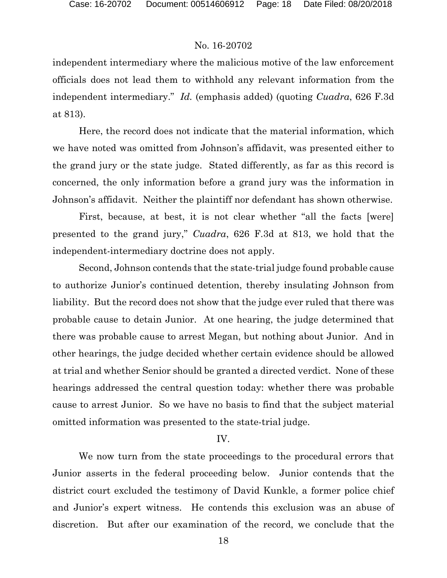independent intermediary where the malicious motive of the law enforcement officials does not lead them to withhold any relevant information from the independent intermediary." *Id.* (emphasis added) (quoting *Cuadra*, 626 F.3d at 813).

Here, the record does not indicate that the material information, which we have noted was omitted from Johnson's affidavit, was presented either to the grand jury or the state judge. Stated differently, as far as this record is concerned, the only information before a grand jury was the information in Johnson's affidavit. Neither the plaintiff nor defendant has shown otherwise.

First, because, at best, it is not clear whether "all the facts [were] presented to the grand jury," *Cuadra*, 626 F.3d at 813, we hold that the independent-intermediary doctrine does not apply.

Second, Johnson contends that the state-trial judge found probable cause to authorize Junior's continued detention, thereby insulating Johnson from liability. But the record does not show that the judge ever ruled that there was probable cause to detain Junior. At one hearing, the judge determined that there was probable cause to arrest Megan, but nothing about Junior. And in other hearings, the judge decided whether certain evidence should be allowed at trial and whether Senior should be granted a directed verdict. None of these hearings addressed the central question today: whether there was probable cause to arrest Junior. So we have no basis to find that the subject material omitted information was presented to the state-trial judge.

#### IV.

We now turn from the state proceedings to the procedural errors that Junior asserts in the federal proceeding below. Junior contends that the district court excluded the testimony of David Kunkle, a former police chief and Junior's expert witness. He contends this exclusion was an abuse of discretion. But after our examination of the record, we conclude that the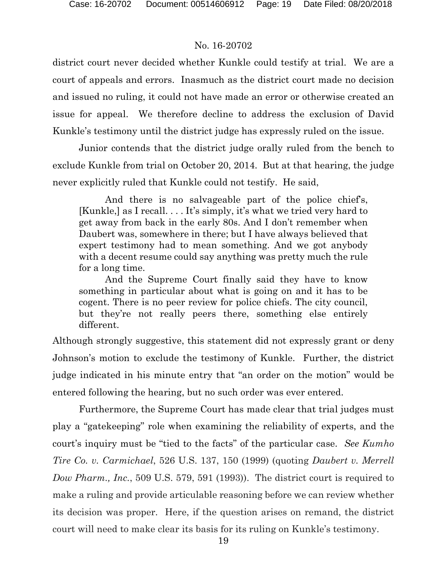district court never decided whether Kunkle could testify at trial. We are a court of appeals and errors. Inasmuch as the district court made no decision and issued no ruling, it could not have made an error or otherwise created an issue for appeal. We therefore decline to address the exclusion of David Kunkle's testimony until the district judge has expressly ruled on the issue.

Junior contends that the district judge orally ruled from the bench to exclude Kunkle from trial on October 20, 2014. But at that hearing, the judge never explicitly ruled that Kunkle could not testify. He said,

And there is no salvageable part of the police chief's, [Kunkle,] as I recall. . . . It's simply, it's what we tried very hard to get away from back in the early 80s. And I don't remember when Daubert was, somewhere in there; but I have always believed that expert testimony had to mean something. And we got anybody with a decent resume could say anything was pretty much the rule for a long time.

And the Supreme Court finally said they have to know something in particular about what is going on and it has to be cogent. There is no peer review for police chiefs. The city council, but they're not really peers there, something else entirely different.

Although strongly suggestive, this statement did not expressly grant or deny Johnson's motion to exclude the testimony of Kunkle. Further, the district judge indicated in his minute entry that "an order on the motion" would be entered following the hearing, but no such order was ever entered.

Furthermore, the Supreme Court has made clear that trial judges must play a "gatekeeping" role when examining the reliability of experts, and the court's inquiry must be "tied to the facts" of the particular case. *See Kumho Tire Co. v. Carmichael*, 526 U.S. 137, 150 (1999) (quoting *Daubert v. Merrell Dow Pharm., Inc.*, 509 U.S. 579, 591 (1993)). The district court is required to make a ruling and provide articulable reasoning before we can review whether its decision was proper. Here, if the question arises on remand, the district court will need to make clear its basis for its ruling on Kunkle's testimony.